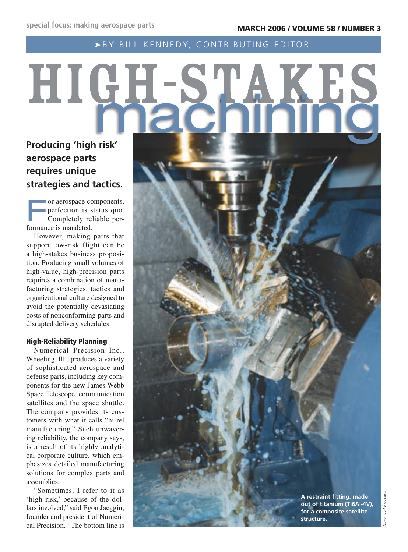# ▶BY BILL KENNEDY, CONTRIBUTING EDITOR

# **Producing 'high risk' aerospace parts requires unique strategies and tactics.**

or aerospace components,<br>
perfection is status quo.<br>
Completely reliable perperfection is status quo. formance is mandated.

However, making parts that support low-risk flight can be a high-stakes business proposition. Producing small volumes of high-value, high-precision parts requires a combination of manufacturing strategies, tactics and organizational culture designed to avoid the potentially devastating costs of nonconforming parts and disrupted delivery schedules.

## High-Reliability Planning

Numerical Precision Inc., Wheeling, Ill., produces a variety of sophisticated aerospace and defense parts, including key components for the new James Webb Space Telescope, communication satellites and the space shuttle. The company provides its customers with what it calls "hi-rel manufacturing." Such unwavering reliability, the company says, is a result of its highly analytical corporate culture, which emphasizes detailed manufacturing solutions for complex parts and assemblies.

"Sometimes, I refer to it as 'high risk,' because of the dollars involved," said Egon Jaeggin, founder and president of Numerical Precision. "The bottom line is

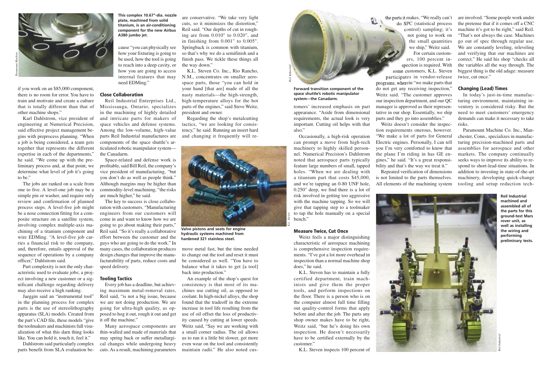

if you work on an \$85,000 component, there is no room for error. You have to train and motivate and create a culture that is totally different than that of other machine shops."

Karl Dahlstrom, vice president of engineering at Numerical Precision, said effective project management begins with preprocess planning. "When a job is being considered, a team gets together that represents the different expertise in each of the departments," he said. "We come up with the preliminary process and, at that point, we determine what level of job it's going to be."

The jobs are ranked on a scale from one to five. A level-one job may be a simple pin or washer, and require only review and confirmation of planned process steps. A level-five job might be a nose connection fitting for a composite structure on a satellite system, involving complex multiple-axis machining of a titanium component and wire EDMing. "A level-five job carries a financial risk to the company, and, therefore, entails approval of the sequence of operations by a company officer," Dahlstrom said.

Part complexity is not the only characteristic used to evaluate jobs; a project involving a new customer or a significant challenge regarding delivery may also receive a high ranking.

Jaeggin said an "instrumental tool" in the planning process for complex parts is the use of stereolithography apparatus (SLA) models. Created from the part's CAD file, these models "give the toolmakers and machinists full visualization of what this darn thing looks like. You can hold it, touch it, feel it."

Dahlstrom said particularly complex parts benefit from SLA evaluation be-

**This complex 10.67"-dia. nozzle plate, machined from solid titanium, is an air-conditioning component for the new Airbus A380 jumbo jet.**

cause "you can physically see how your fixturing is going to be used, how the tool is going to reach into a deep cavity, or how you are going to access internal features that may need EDMing."

### Close Collaboration

Reil Industrial Enterprises Ltd., Mississauga, Ontario, specializes in the machining of highly detailed and intricate parts for makers of space vehicles and defense systems. Among the low-volume, high-value parts Reil Industrial manufactures are components of the space shuttle's articulated robotic manipulator system the Canadarm.

Space-related and defense work is profitable, said Bill Reil, the company's vice president of manufacturing, "but you don't do as well as people think." Although margins may be higher than commodity-level machining, "the risks are much higher," he said.

The key to success is close collaboration with customers. "Manufacturing engineers from our customers will come in and want to know how we are going to go about making their parts," Reil said. "So it's really a collaborative effort between the customer and the guys who are going to do the work." In many cases, the collaboration produces design changes that improve the manufacturability of parts, reduce costs and speed delivery.

#### Tooling Tactics

Every job has a deadline, but achieving maximum metal-removal rates, Reil said, "is not a big issue, because we are not doing production. We are going for ultra-high quality, as opposed to hog it out, rough it out and get it off the machine."

Many aerospace components are thin-walled and made of materials that may spring back or suffer metallurgical changes while undergoing heavy cuts. As a result, machining parameters

are conservative. "We take very light cuts, so it minimizes the distortion," Reil said. "Our depths of cut in roughing are from 0.010" to 0.020", and in finishing from 0.001" to 0.005". Springback is common with titanium, so that's why we do a semifinish and a finish pass. We tickle these things all the way down."

K.L. Steven Co. Inc., Rio Rancho, N.M., concentrates on smaller aerospace parts, those "you can hold in your hand [that are] made of all the nasty materials—the high-strength, high-temperature alloys for the hot parts of the engines," said Steve Weitz, president and owner.

Regarding the shop's metalcutting tactics, "we are looking for consistency," he said. Running an insert hard and changing it frequently will re-



**hydraulic systems machined from hardened 321 stainless steel.**

move metal fast, but the time needed to change out the tool and reset it must be considered as well. "You have to balance what it takes to get [a tool] back into production."

An example of the shop's quest for consistency is that most of its machines use cutting oil, as opposed to coolant. In high-nickel alloys, the shop found that the tradeoff in the extreme increase in tool life resulting from the use of oil offset the loss of productivity caused by cutting at lower speeds. Weitz said, "Say we are working with a small corner radius. The oil allows us to run it a little bit slower, get more even wear on the tool and consistently maintain radii." He also noted cus-



**Forward transition component of the space shuttle's robotic manipulator system—the Canadarm.**

tomers' increased emphasis on part appearance. "Aside from dimensional requirements, the actual look is very important. Cutting oil helps with that also."

Occasionally, a high-risk operation can prompt a move from high-tech machinery to highly skilled personnel. Numerical Precision's Dahlstrom noted that aerospace parts typically feature large numbers of small, tapped holes. "When we are dealing with a titanium part that costs \$45,000, and we're tapping an 0-80 UNF hole, 0.250" deep, we find there is a lot of risk involved in getting too aggressive with the machine tapping. So we will give that tapping step to a toolmaker to tap the hole manually on a special bench."

#### Measure Twice, Cut Once

*K.L. Steven*

Weitz feels a major distinguishing characteristic of aerospace machining is comprehensive inspection requirements. "I've got a lot more overhead in inspection than a normal machine shop does," he said.

K.L. Steven has to maintain a fully certified department, train machinists and give them the proper tools, and perform inspections on the floor. There is a person who is on the computer almost full time filling out quality-control forms that apply before and after the job. The parts any shop owner makes have to be right, Weitz said, "but he's doing his own inspection. He doesn't necessarily have to be certified externally by the customer."

K.L. Steven inspects 100 percent of

the parts it makes. "We really can't do SPC (statistical process<br>
control) sampling; it's<br>
not going to work on<br>
the small quantities<br>
we ship," Weitz said.<br>
For certain custom-<br>
ers, 100 percent incontrol) sampling; it's not going to work on the small quantities we ship," Weitz said. For certain customers, 100 percent inspection is required. With some customers, K.L. Steven some customers, K.L. Steven<br>participates in vendor-release programs, wherein "we make parts that programs, wherein "we make parts that do not get any receiving inspection," Weitz said. "The customer approves our inspection department, and our QC manager is approved as their represen-

parts and they go into assemblies." Weitz doesn't consider the inspection requirements onerous, however. "We make a lot of parts for General

tative in our shop. Essentially, we ship

Electric engines. Personally, I can tell you I'm very comforted to know that the plane I'm riding in has GE engines," he said. "It's a great responsibility and that's the way we treat it."

Repeated verification of dimensions is not limited to the parts themselves. All elements of the machining system



are involved. "Some people work under the pretense that if it comes off a CNC machine it's got to be right," said Reil. "That's not always the case. Machines go out of spec through regular use. We are constantly leveling, releveling and verifying that our machines are correct." He said his shop "checks all the variables all the way through. The biggest thing is the old adage: measure twice, cut once."

#### Changing (Lead) Times

In today's just-in-time manufacturing environment, maintaining inventory is considered risky. But the need to meet customers' emergency demands can make it necessary to take risks.

Paramount Machine Co. Inc., Manchester, Conn., specializes in manufacturing precision-machined parts and assemblies for aerospace and other markets. The company continually seeks ways to improve its ability to respond to short-lead-time situations. In addition to investing in state-of-the-art machinery, developing quick-change tooling and setup reduction tech-

*Reil Industrial*

**Reil Industrial machined and assembled all of the parts for this ground-test Mars rover unit, as well as installing the wiring and performing preliminary tests.**